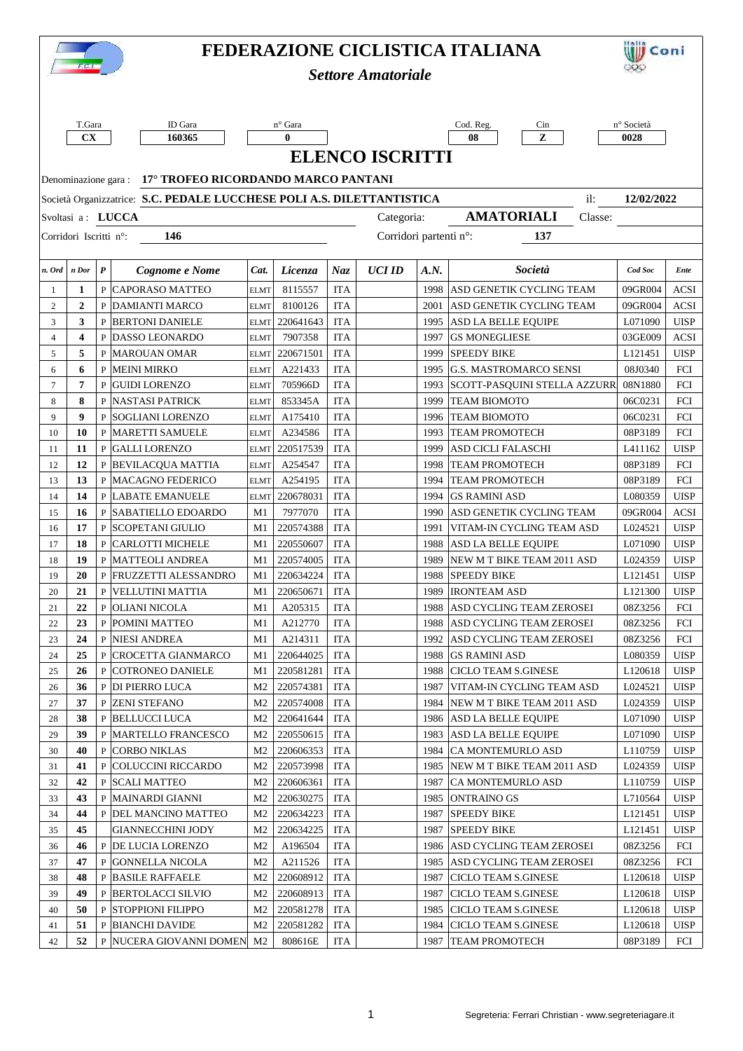|                                                                                                                                                                                                       | FEDERAZIONE CICLISTICA ITALIANA<br><b>Liens</b><br><b>Settore Amatoriale</b>                                                              |                  |                           |                |           |            |               |      |                                 | ∭) Coni             |             |
|-------------------------------------------------------------------------------------------------------------------------------------------------------------------------------------------------------|-------------------------------------------------------------------------------------------------------------------------------------------|------------------|---------------------------|----------------|-----------|------------|---------------|------|---------------------------------|---------------------|-------------|
| T.Gara<br>ID Gara<br>n° Società<br>n° Gara<br>Cod. Reg.<br>Cin<br>160365<br>$\bf{0}$<br>z<br>0028<br>CX<br>08<br><b>ELENCO ISCRITTI</b><br>17° TROFEO RICORDANDO MARCO PANTANI<br>Denominazione gara: |                                                                                                                                           |                  |                           |                |           |            |               |      |                                 |                     |             |
|                                                                                                                                                                                                       |                                                                                                                                           |                  |                           |                |           |            |               |      | il:                             | 12/02/2022          |             |
|                                                                                                                                                                                                       | Società Organizzatrice: S.C. PEDALE LUCCHESE POLI A.S. DILETTANTISTICA<br><b>AMATORIALI</b><br>Svoltasi a: LUCCA<br>Categoria:<br>Classe: |                  |                           |                |           |            |               |      |                                 |                     |             |
| Corridori partenti n°:<br>146<br>Corridori Iscritti n°:<br>137                                                                                                                                        |                                                                                                                                           |                  |                           |                |           |            |               |      |                                 |                     |             |
| n. Ord                                                                                                                                                                                                | $n$ Dor                                                                                                                                   | $\boldsymbol{P}$ | Cognome e Nome            | Cat.           | Licenza   | Naz.       | <b>UCI ID</b> | A.N. | Società                         | Cod Soc             | Ente        |
| -1                                                                                                                                                                                                    | 1                                                                                                                                         | P                | <b>CAPORASO MATTEO</b>    | <b>ELMT</b>    | 8115557   | <b>ITA</b> |               | 1998 | <b>ASD GENETIK CYCLING TEAM</b> | 09GR004             | ACSI        |
| $\overline{c}$                                                                                                                                                                                        | $\boldsymbol{2}$                                                                                                                          | P                | <b>DAMIANTI MARCO</b>     | <b>ELMT</b>    | 8100126   | <b>ITA</b> |               | 2001 | ASD GENETIK CYCLING TEAM        | 09GR004             | ACSI        |
| 3                                                                                                                                                                                                     | 3                                                                                                                                         |                  | P BERTONI DANIELE         | <b>ELMT</b>    | 220641643 | <b>ITA</b> |               | 1995 | <b>ASD LA BELLE EQUIPE</b>      | L071090             | <b>UISP</b> |
| $\overline{4}$                                                                                                                                                                                        | 4                                                                                                                                         |                  | P DASSO LEONARDO          | <b>ELMT</b>    | 7907358   | <b>ITA</b> |               | 1997 | <b>GS MONEGLIESE</b>            | 03GE009             | <b>ACSI</b> |
| 5                                                                                                                                                                                                     | 5                                                                                                                                         |                  | P MAROUAN OMAR            | <b>ELMT</b>    | 220671501 | <b>ITA</b> |               | 1999 | <b>SPEEDY BIKE</b>              | L <sub>121451</sub> | <b>UISP</b> |
| 6                                                                                                                                                                                                     | 6                                                                                                                                         |                  | P MEINI MIRKO             | <b>ELMT</b>    | A221433   | <b>ITA</b> |               | 1995 | G.S. MASTROMARCO SENSI          | 08J0340             | <b>FCI</b>  |
| 7                                                                                                                                                                                                     | 7                                                                                                                                         | P                | <b>GUIDI LORENZO</b>      | <b>ELMT</b>    | 705966D   | <b>ITA</b> |               | 1993 | SCOTT-PASQUINI STELLA AZZURR    | 08N1880             | <b>FCI</b>  |
| 8                                                                                                                                                                                                     | 8                                                                                                                                         | P                | <b>NASTASI PATRICK</b>    | <b>ELMT</b>    | 853345A   | <b>ITA</b> |               | 1999 | TEAM BIOMOTO                    | 06C0231             | <b>FCI</b>  |
| 9                                                                                                                                                                                                     | 9                                                                                                                                         | P                | <b>SOGLIANI LORENZO</b>   | <b>ELMT</b>    | A175410   | <b>ITA</b> |               | 1996 | TEAM BIOMOTO                    | 06C0231             | <b>FCI</b>  |
| 10                                                                                                                                                                                                    | 10                                                                                                                                        | P                | <b>MARETTI SAMUELE</b>    | <b>ELMT</b>    | A234586   | <b>ITA</b> |               | 1993 | TEAM PROMOTECH                  | 08P3189             | <b>FCI</b>  |
| 11                                                                                                                                                                                                    | 11                                                                                                                                        |                  | P GALLI LORENZO           | <b>ELMT</b>    | 220517539 | <b>ITA</b> |               | 1999 | <b>ASD CICLI FALASCHI</b>       | L411162             | <b>UISP</b> |
| 12                                                                                                                                                                                                    | 12                                                                                                                                        |                  | P BEVILACQUA MATTIA       | <b>ELMT</b>    | A254547   | <b>ITA</b> |               | 1998 | <b>TEAM PROMOTECH</b>           | 08P3189             | <b>FCI</b>  |
| 13                                                                                                                                                                                                    | 13                                                                                                                                        |                  | P MACAGNO FEDERICO        | <b>ELMT</b>    | A254195   | <b>ITA</b> |               | 1994 | <b>TEAM PROMOTECH</b>           | 08P3189             | <b>FCI</b>  |
| 14                                                                                                                                                                                                    | 14                                                                                                                                        |                  | P LABATE EMANUELE         | <b>ELMT</b>    | 220678031 | <b>ITA</b> |               | 1994 | GS RAMINI ASD                   | L080359             | <b>UISP</b> |
| 15                                                                                                                                                                                                    | 16                                                                                                                                        | P                | <b>SABATIELLO EDOARDO</b> | M1             | 7977070   | <b>ITA</b> |               | 1990 | <b>ASD GENETIK CYCLING TEAM</b> | 09GR004             | <b>ACSI</b> |
| 16                                                                                                                                                                                                    | 17                                                                                                                                        | $\mathbf{P}$     | <b>SCOPETANI GIULIO</b>   | M1             | 220574388 | ITA        |               | 1991 | VITAM-IN CYCLING TEAM ASD       | L024521             | <b>UISP</b> |
| 17                                                                                                                                                                                                    | 18                                                                                                                                        | $\mathbf{P}$     | CARLOTTI MICHELE          | M1             | 220550607 | <b>ITA</b> |               | 1988 | <b>ASD LA BELLE EQUIPE</b>      | L071090             | <b>UISP</b> |
| 18                                                                                                                                                                                                    | 19                                                                                                                                        |                  | P   MATTEOLI ANDREA       | M1             | 220574005 | <b>ITA</b> |               | 1989 | NEW M T BIKE TEAM 2011 ASD      | L024359             | <b>UISP</b> |
| 19                                                                                                                                                                                                    | 20                                                                                                                                        |                  | P FRUZZETTI ALESSANDRO    | M1             | 220634224 | <b>ITA</b> |               | 1988 | <b>SPEEDY BIKE</b>              | L <sub>121451</sub> | <b>UISP</b> |
| $20\,$                                                                                                                                                                                                | $\bf 21$                                                                                                                                  |                  | P VELLUTINI MATTIA        | M1             | 220650671 | <b>ITA</b> |               |      | 1989   IRONTEAM ASD             | L121300             | <b>UISP</b> |
|                                                                                                                                                                                                       | 22                                                                                                                                        |                  |                           | M1             | A205315   | <b>ITA</b> |               | 1988 | ASD CYCLING TEAM ZEROSEI        | 08Z3256             | FCI         |
| 21                                                                                                                                                                                                    | 23                                                                                                                                        |                  | P   OLIANI NICOLA         |                |           | <b>ITA</b> |               | 1988 |                                 |                     | FCI         |
| 22                                                                                                                                                                                                    |                                                                                                                                           |                  | P POMINI MATTEO           | M1             | A212770   |            |               |      | ASD CYCLING TEAM ZEROSEI        | 08Z3256             |             |
| 23                                                                                                                                                                                                    | 24                                                                                                                                        |                  | P NIESI ANDREA            | M1             | A214311   | <b>ITA</b> |               | 1992 | ASD CYCLING TEAM ZEROSEI        | 08Z3256             | FCI         |
| 24                                                                                                                                                                                                    | 25                                                                                                                                        | P                | CROCETTA GIANMARCO        | M1             | 220644025 | <b>ITA</b> |               | 1988 | <b>GS RAMINI ASD</b>            | L080359             | <b>UISP</b> |
| 25                                                                                                                                                                                                    | 26                                                                                                                                        | P                | COTRONEO DANIELE          | M1             | 220581281 | <b>ITA</b> |               | 1988 | CICLO TEAM S.GINESE             | L <sub>120618</sub> | <b>UISP</b> |
| 26                                                                                                                                                                                                    | 36                                                                                                                                        |                  | P DI PIERRO LUCA          | M <sub>2</sub> | 220574381 | <b>ITA</b> |               | 1987 | VITAM-IN CYCLING TEAM ASD       | L024521             | <b>UISP</b> |
| 27                                                                                                                                                                                                    | 37                                                                                                                                        | P                | <b>ZENI STEFANO</b>       | M <sub>2</sub> | 220574008 | ITA        |               | 1984 | NEW M T BIKE TEAM 2011 ASD      | L024359             | <b>UISP</b> |
| 28                                                                                                                                                                                                    | 38                                                                                                                                        |                  | P BELLUCCI LUCA           | M <sub>2</sub> | 220641644 | ITA        |               | 1986 | <b>ASD LA BELLE EQUIPE</b>      | L071090             | <b>UISP</b> |
| 29                                                                                                                                                                                                    | 39                                                                                                                                        |                  | P   MARTELLO FRANCESCO    | M <sub>2</sub> | 220550615 | ITA        |               | 1983 | ASD LA BELLE EQUIPE             | L071090             | <b>UISP</b> |
| 30                                                                                                                                                                                                    | 40                                                                                                                                        |                  | P CORBO NIKLAS            | M <sub>2</sub> | 220606353 | <b>ITA</b> |               | 1984 | CA MONTEMURLO ASD               | L110759             | <b>UISP</b> |
| 31                                                                                                                                                                                                    | 41                                                                                                                                        | P                | COLUCCINI RICCARDO        | M <sub>2</sub> | 220573998 | <b>ITA</b> |               | 1985 | NEW M T BIKE TEAM 2011 ASD      | L024359             | <b>UISP</b> |
| 32                                                                                                                                                                                                    | 42                                                                                                                                        | P                | <b>SCALI MATTEO</b>       | M <sub>2</sub> | 220606361 | <b>ITA</b> |               | 1987 | CA MONTEMURLO ASD               | L110759             | <b>UISP</b> |
| 33                                                                                                                                                                                                    | 43                                                                                                                                        | P                | MAINARDI GIANNI           | M <sub>2</sub> | 220630275 | ITA        |               | 1985 | <b>ONTRAINO GS</b>              | L710564             | <b>UISP</b> |
| 34                                                                                                                                                                                                    | 44                                                                                                                                        |                  | P DEL MANCINO MATTEO      | M <sub>2</sub> | 220634223 | ITA        |               | 1987 | <b>SPEEDY BIKE</b>              | L <sub>121451</sub> | <b>UISP</b> |
| 35                                                                                                                                                                                                    | 45                                                                                                                                        |                  | <b>GIANNECCHINI JODY</b>  | M <sub>2</sub> | 220634225 | <b>ITA</b> |               | 1987 | <b>SPEEDY BIKE</b>              | L <sub>121451</sub> | <b>UISP</b> |
| 36                                                                                                                                                                                                    | 46                                                                                                                                        |                  | P DE LUCIA LORENZO        | M <sub>2</sub> | A196504   | <b>ITA</b> |               | 1986 | ASD CYCLING TEAM ZEROSEI        | 08Z3256             | FCI         |
| 37                                                                                                                                                                                                    | 47                                                                                                                                        |                  | P GONNELLA NICOLA         | M <sub>2</sub> | A211526   | <b>ITA</b> |               | 1985 | ASD CYCLING TEAM ZEROSEI        | 08Z3256             | FCI         |
| 38                                                                                                                                                                                                    | 48                                                                                                                                        |                  | P BASILE RAFFAELE         | M <sub>2</sub> | 220608912 | ITA        |               | 1987 | CICLO TEAM S.GINESE             | L <sub>120618</sub> | <b>UISP</b> |
| 39                                                                                                                                                                                                    | 49                                                                                                                                        |                  | P BERTOLACCI SILVIO       | M2             | 220608913 | ITA        |               | 1987 | <b>CICLO TEAM S.GINESE</b>      | L <sub>120618</sub> | <b>UISP</b> |
| 40                                                                                                                                                                                                    | 50                                                                                                                                        | P                | <b>STOPPIONI FILIPPO</b>  | M2             | 220581278 | ITA        |               | 1985 | <b>CICLO TEAM S.GINESE</b>      | L120618             | <b>UISP</b> |
| 41                                                                                                                                                                                                    | 51                                                                                                                                        | P                | BIANCHI DAVIDE            | M <sub>2</sub> | 220581282 | <b>ITA</b> |               | 1984 | CICLO TEAM S.GINESE             | L <sub>120618</sub> | <b>UISP</b> |
| 42                                                                                                                                                                                                    | 52                                                                                                                                        |                  | P NUCERA GIOVANNI DOMEN   | M2             | 808616E   | <b>ITA</b> |               | 1987 | TEAM PROMOTECH                  | 08P3189             | FCI         |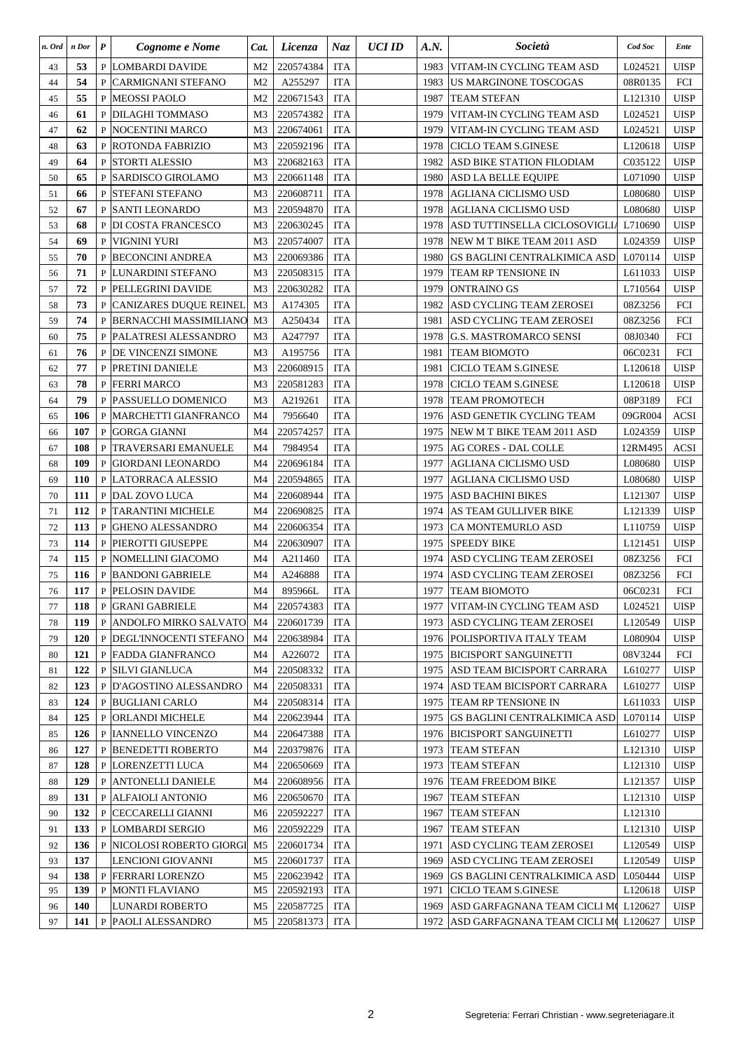| n. Ord | n Dor      | $\pmb{P}$ | Cognome e Nome                | Cat.           | Licenza   | Naz        | <b>UCI ID</b> | A.N. | Società                           | Cod Soc             | Ente        |
|--------|------------|-----------|-------------------------------|----------------|-----------|------------|---------------|------|-----------------------------------|---------------------|-------------|
| 43     | 53         |           | P LOMBARDI DAVIDE             | M <sub>2</sub> | 220574384 | <b>ITA</b> |               |      | 1983 VITAM-IN CYCLING TEAM ASD    | L024521             | <b>UISP</b> |
| 44     | 54         | P         | <b>CARMIGNANI STEFANO</b>     | M <sub>2</sub> | A255297   | <b>ITA</b> |               | 1983 | US MARGINONE TOSCOGAS             | 08R0135             | FCI         |
| 45     | 55         |           | P MEOSSI PAOLO                | M <sub>2</sub> | 220671543 | <b>ITA</b> |               | 1987 | <b>TEAM STEFAN</b>                | L <sub>121310</sub> | <b>UISP</b> |
| 46     | 61         |           | P DILAGHI TOMMASO             | M3             | 220574382 | <b>ITA</b> |               | 1979 | VITAM-IN CYCLING TEAM ASD         | L024521             | <b>UISP</b> |
| 47     | 62         |           | P NOCENTINI MARCO             | M <sub>3</sub> | 220674061 | <b>ITA</b> |               | 1979 | VITAM-IN CYCLING TEAM ASD         | L024521             | <b>UISP</b> |
| 48     | 63         |           | P ROTONDA FABRIZIO            | M <sub>3</sub> | 220592196 | <b>ITA</b> |               | 1978 | CICLO TEAM S.GINESE               | L120618             | <b>UISP</b> |
| 49     | 64         |           | P STORTI ALESSIO              | M <sub>3</sub> | 220682163 | <b>ITA</b> |               |      | 1982 ASD BIKE STATION FILODIAM    | C035122             | <b>UISP</b> |
| 50     | 65         |           | P SARDISCO GIROLAMO           | M <sub>3</sub> | 220661148 | <b>ITA</b> |               |      | 1980 ASD LA BELLE EQUIPE          | L071090             | <b>UISP</b> |
| 51     | 66         | P         | <b>STEFANI STEFANO</b>        | M <sub>3</sub> | 220608711 | <b>ITA</b> |               | 1978 | AGLIANA CICLISMO USD              | L080680             | <b>UISP</b> |
| 52     | 67         |           | P SANTI LEONARDO              | M <sub>3</sub> | 220594870 | <b>ITA</b> |               | 1978 | AGLIANA CICLISMO USD              | L080680             | UISP        |
| 53     | 68         |           | P DI COSTA FRANCESCO          | M <sub>3</sub> | 220630245 | <b>ITA</b> |               | 1978 | ASD TUTTINSELLA CICLOSOVIGLIA     | L710690             | <b>UISP</b> |
| 54     | 69         |           | P VIGNINI YURI                | M3             | 220574007 | <b>ITA</b> |               | 1978 | NEW M T BIKE TEAM 2011 ASD        | L024359             | <b>UISP</b> |
| 55     | 70         |           | P BECONCINI ANDREA            | M <sub>3</sub> | 220069386 | <b>ITA</b> |               | 1980 | GS BAGLINI CENTRALKIMICA ASD      | L070114             | <b>UISP</b> |
| 56     | 71         |           | P LUNARDINI STEFANO           | M3             | 220508315 | <b>ITA</b> |               | 1979 | <b>TEAM RP TENSIONE IN</b>        | L611033             | <b>UISP</b> |
| 57     | 72         |           | P PELLEGRINI DAVIDE           | M <sub>3</sub> | 220630282 | <b>ITA</b> |               | 1979 | <b>ONTRAINO GS</b>                | L710564             | <b>UISP</b> |
| 58     | 73         |           | P CANIZARES DUQUE REINEL      | M <sub>3</sub> | A174305   | <b>ITA</b> |               |      | 1982   ASD CYCLING TEAM ZEROSEI   | 08Z3256             | FCI         |
| 59     | 74         | P         | <b>BERNACCHI MASSIMILIANO</b> | M <sub>3</sub> | A250434   | <b>ITA</b> |               | 1981 | ASD CYCLING TEAM ZEROSEI          | 08Z3256             | FCI         |
| 60     | 75         | P         | PALATRESI ALESSANDRO          | M <sub>3</sub> | A247797   | <b>ITA</b> |               | 1978 | G.S. MASTROMARCO SENSI            | 08J0340             | FCI         |
| 61     | 76         |           | P DE VINCENZI SIMONE          | M <sub>3</sub> | A195756   | <b>ITA</b> |               | 1981 | <b>TEAM BIOMOTO</b>               | 06C0231             | FCI         |
| 62     | 77         |           | P PRETINI DANIELE             | M <sub>3</sub> | 220608915 | <b>ITA</b> |               | 1981 | CICLO TEAM S.GINESE               | L <sub>120618</sub> | <b>UISP</b> |
| 63     | 78         |           | P FERRI MARCO                 | M3             | 220581283 | <b>ITA</b> |               | 1978 | <b>CICLO TEAM S.GINESE</b>        | L <sub>120618</sub> | <b>UISP</b> |
| 64     | 79         |           | P PASSUELLO DOMENICO          | M <sub>3</sub> | A219261   | <b>ITA</b> |               |      | 1978   TEAM PROMOTECH             | 08P3189             | FCI         |
| 65     | 106        |           | P   MARCHETTI GIANFRANCO      | M4             | 7956640   | <b>ITA</b> |               |      | 1976 ASD GENETIK CYCLING TEAM     | 09GR004             | <b>ACSI</b> |
| 66     | 107        |           | P GORGA GIANNI                | M4             | 220574257 | <b>ITA</b> |               |      | 1975   NEW M T BIKE TEAM 2011 ASD | L024359             | <b>UISP</b> |
| 67     | 108        |           | P TRAVERSARI EMANUELE         | M4             | 7984954   | <b>ITA</b> |               |      | 1975   AG CORES - DAL COLLE       | 12RM495             | <b>ACSI</b> |
| 68     | 109        |           | P GIORDANI LEONARDO           | M4             | 220696184 | <b>ITA</b> |               | 1977 | AGLIANA CICLISMO USD              | L080680             | <b>UISP</b> |
| 69     | <b>110</b> |           | P LATORRACA ALESSIO           | M4             | 220594865 | <b>ITA</b> |               | 1977 | AGLIANA CICLISMO USD              | L080680             | UISP        |
| 70     | 111        |           | P DAL ZOVO LUCA               | M4             | 220608944 | <b>ITA</b> |               |      | 1975   ASD BACHINI BIKES          | L121307             | <b>UISP</b> |
| 71     | 112        |           | P TARANTINI MICHELE           | M4             | 220690825 | <b>ITA</b> |               |      | 1974 AS TEAM GULLIVER BIKE        | L121339             | <b>UISP</b> |
| 72     | 113        |           | P GHENO ALESSANDRO            | M4             | 220606354 | <b>ITA</b> |               |      | 1973   CA MONTEMURLO ASD          | L110759             | <b>UISP</b> |
| 73     | 114        |           | P PIEROTTI GIUSEPPE           | M4             | 220630907 | <b>ITA</b> |               |      | 1975 SPEEDY BIKE                  | L <sub>121451</sub> | <b>UISP</b> |
| 74     | 115        |           | P NOMELLINI GIACOMO           | M4             | A211460   | <b>ITA</b> |               |      | 1974 ASD CYCLING TEAM ZEROSEI     | 08Z3256             | FCI         |
| 75     | 116        |           | P BANDONI GABRIELE            | M4             | A246888   | <b>ITA</b> |               |      | 1974 ASD CYCLING TEAM ZEROSEI     | 08Z3256             | FCI         |
| 76     | 117        |           | P PELOSIN DAVIDE              | M4             | 895966L   | <b>ITA</b> |               |      | 1977   TEAM BIOMOTO               | 06C0231             | FCI         |
| 77     | 118        |           | P GRANI GABRIELE              | M4             | 220574383 | ITA        |               |      | 1977 VITAM-IN CYCLING TEAM ASD    | L024521             | <b>UISP</b> |
| 78     | 119        |           | P ANDOLFO MIRKO SALVATO       | M4             | 220601739 | <b>ITA</b> |               |      | 1973   ASD CYCLING TEAM ZEROSEI   | L120549             | UISP        |
| 79     | <b>120</b> |           | P DEGL'INNOCENTI STEFANO      | M4             | 220638984 | <b>ITA</b> |               |      | 1976   POLISPORTIVA ITALY TEAM    | L080904             | UISP        |
| 80     | 121        |           | P FADDA GIANFRANCO            | M4             | A226072   | <b>ITA</b> |               |      | 1975 BICISPORT SANGUINETTI        | 08V3244             | FCI         |
| 81     | 122        |           | P SILVI GIANLUCA              | M4             | 220508332 | <b>ITA</b> |               |      | 1975   ASD TEAM BICISPORT CARRARA | L610277             | <b>UISP</b> |
| 82     | 123        |           | P D'AGOSTINO ALESSANDRO       | M4             | 220508331 | <b>ITA</b> |               |      | 1974   ASD TEAM BICISPORT CARRARA | L610277             | <b>UISP</b> |
| 83     | 124        |           | P BUGLIANI CARLO              | M4             | 220508314 | <b>ITA</b> |               |      | 1975   TEAM RP TENSIONE IN        | L611033             | <b>UISP</b> |
| 84     | 125        |           | P ORLANDI MICHELE             | M4             | 220623944 | <b>ITA</b> |               |      | 1975 GS BAGLINI CENTRALKIMICA ASD | L070114             | <b>UISP</b> |
| 85     | 126        |           | P IANNELLO VINCENZO           | M4             | 220647388 | <b>ITA</b> |               |      | 1976 BICISPORT SANGUINETTI        | L610277             | <b>UISP</b> |
| 86     | 127        |           | P BENEDETTI ROBERTO           | M4             | 220379876 | <b>ITA</b> |               |      | 1973   TEAM STEFAN                | L121310             | <b>UISP</b> |
| 87     | 128        |           | P LORENZETTI LUCA             | M4             | 220650669 | <b>ITA</b> |               |      | 1973 TEAM STEFAN                  | L121310             | <b>UISP</b> |
| 88     | 129        |           | P ANTONELLI DANIELE           | M4             | 220608956 | ITA        |               |      | 1976   TEAM FREEDOM BIKE          | L121357             | <b>UISP</b> |
| 89     | 131        |           | P ALFAIOLI ANTONIO            | M6             | 220650670 | ITA        |               |      | 1967 TEAM STEFAN                  | L121310             | <b>UISP</b> |
| 90     | 132        |           | P CECCARELLI GIANNI           | M6             | 220592227 | ITA        |               | 1967 | <b>TEAM STEFAN</b>                | L121310             |             |
| 91     | 133        |           | P LOMBARDI SERGIO             | M6             | 220592229 | <b>ITA</b> |               | 1967 | <b>TEAM STEFAN</b>                | L121310             | <b>UISP</b> |
| 92     | 136        |           | P NICOLOSI ROBERTO GIORGI     | M5             | 220601734 | <b>ITA</b> |               | 1971 | ASD CYCLING TEAM ZEROSEI          | L120549             | <b>UISP</b> |
| 93     | 137        |           | LENCIONI GIOVANNI             | M5             | 220601737 | <b>ITA</b> |               | 1969 | ASD CYCLING TEAM ZEROSEI          | L120549             | <b>UISP</b> |
| 94     | 138        |           | P   FERRARI LORENZO           | M5             | 220623942 | <b>ITA</b> |               | 1969 | GS BAGLINI CENTRALKIMICA ASD      | L050444             | <b>UISP</b> |
| 95     | 139        |           | P MONTI FLAVIANO              | M5             | 220592193 | <b>ITA</b> |               | 1971 | <b>CICLO TEAM S.GINESE</b>        | L120618             | <b>UISP</b> |
| 96     | <b>140</b> |           | LUNARDI ROBERTO               | M5             | 220587725 | <b>ITA</b> |               | 1969 | ASD GARFAGNANA TEAM CICLI M(      | L120627             | <b>UISP</b> |
| 97     | 141        |           | P PAOLI ALESSANDRO            | M5             | 220581373 | <b>ITA</b> |               | 1972 | ASD GARFAGNANA TEAM CICLI M(      | L120627             | UISP        |